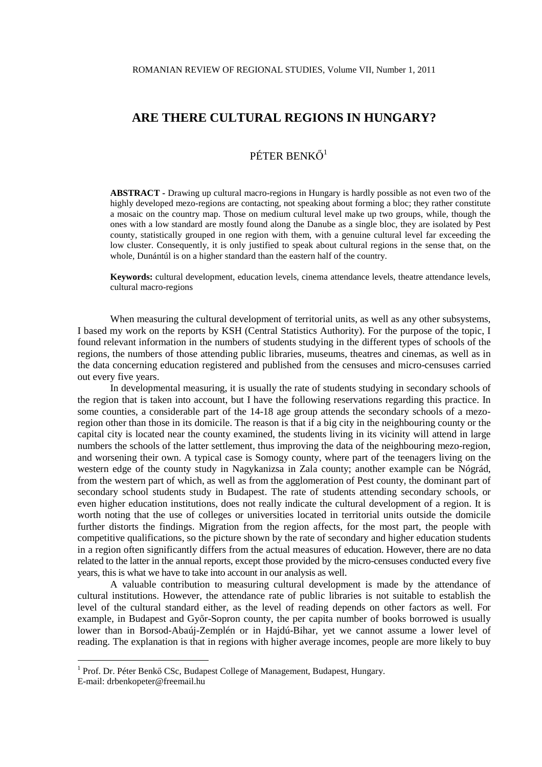# PÉTER BENKŐ<sup>1</sup>

**ABSTRACT -** Drawing up cultural macro-regions in Hungary is hardly possible as not even two of the highly developed mezo-regions are contacting, not speaking about forming a bloc; they rather constitute a mosaic on the country map. Those on medium cultural level make up two groups, while, though the ones with a low standard are mostly found along the Danube as a single bloc, they are isolated by Pest county, statistically grouped in one region with them, with a genuine cultural level far exceeding the low cluster. Consequently, it is only justified to speak about cultural regions in the sense that, on the whole, Dunántúl is on a higher standard than the eastern half of the country.

**Keywords:** cultural development, education levels, cinema attendance levels, theatre attendance levels, cultural macro-regions

When measuring the cultural development of territorial units, as well as any other subsystems, I based my work on the reports by KSH (Central Statistics Authority). For the purpose of the topic, I found relevant information in the numbers of students studying in the different types of schools of the regions, the numbers of those attending public libraries, museums, theatres and cinemas, as well as in the data concerning education registered and published from the censuses and micro-censuses carried out every five years.

 In developmental measuring, it is usually the rate of students studying in secondary schools of the region that is taken into account, but I have the following reservations regarding this practice. In some counties, a considerable part of the 14-18 age group attends the secondary schools of a mezoregion other than those in its domicile. The reason is that if a big city in the neighbouring county or the capital city is located near the county examined, the students living in its vicinity will attend in large numbers the schools of the latter settlement, thus improving the data of the neighbouring mezo-region, and worsening their own. A typical case is Somogy county, where part of the teenagers living on the western edge of the county study in Nagykanizsa in Zala county; another example can be Nógrád, from the western part of which, as well as from the agglomeration of Pest county, the dominant part of secondary school students study in Budapest. The rate of students attending secondary schools, or even higher education institutions, does not really indicate the cultural development of a region. It is worth noting that the use of colleges or universities located in territorial units outside the domicile further distorts the findings. Migration from the region affects, for the most part, the people with competitive qualifications, so the picture shown by the rate of secondary and higher education students in a region often significantly differs from the actual measures of education. However, there are no data related to the latter in the annual reports, except those provided by the micro-censuses conducted every five years, this is what we have to take into account in our analysis as well.

 A valuable contribution to measuring cultural development is made by the attendance of cultural institutions. However, the attendance rate of public libraries is not suitable to establish the level of the cultural standard either, as the level of reading depends on other factors as well. For example, in Budapest and Győr-Sopron county, the per capita number of books borrowed is usually lower than in Borsod-Abaúj-Zemplén or in Hajdú-Bihar, yet we cannot assume a lower level of reading. The explanation is that in regions with higher average incomes, people are more likely to buy

 $\overline{a}$ 

<sup>&</sup>lt;sup>1</sup> Prof. Dr. Péter Benkő CSc, Budapest College of Management, Budapest, Hungary. E-mail: drbenkopeter@freemail.hu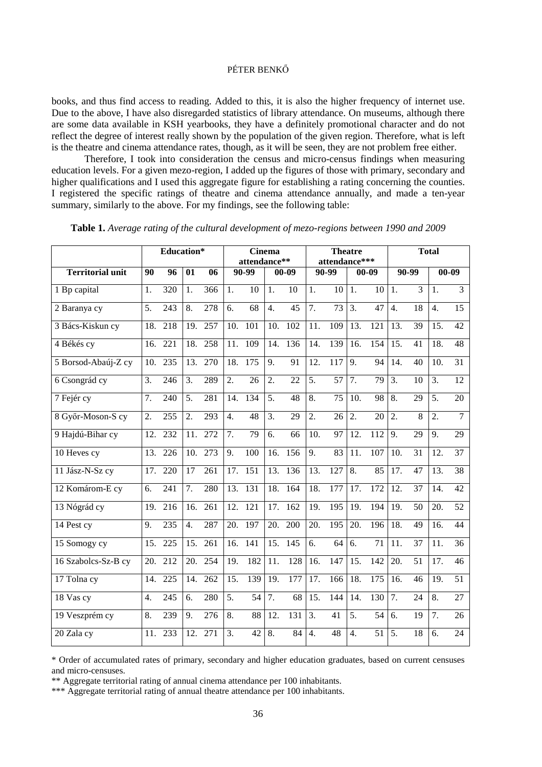## PÉTER BENKŐ

books, and thus find access to reading. Added to this, it is also the higher frequency of internet use. Due to the above, I have also disregarded statistics of library attendance. On museums, although there are some data available in KSH yearbooks, they have a definitely promotional character and do not reflect the degree of interest really shown by the population of the given region. Therefore, what is left is the theatre and cinema attendance rates, though, as it will be seen, they are not problem free either.

 Therefore, I took into consideration the census and micro-census findings when measuring education levels. For a given mezo-region, I added up the figures of those with primary, secondary and higher qualifications and I used this aggregate figure for establishing a rating concerning the counties. I registered the specific ratings of theatre and cinema attendance annually, and made a ten-year summary, similarly to the above. For my findings, see the following table:

|                         | Education*        |                  |                   |                  | <b>Cinema</b><br>attendance** |                  |                   |                  | <b>Theatre</b><br>attendance*** |                  |                   | <b>Total</b>    |                   |                 |                  |                 |
|-------------------------|-------------------|------------------|-------------------|------------------|-------------------------------|------------------|-------------------|------------------|---------------------------------|------------------|-------------------|-----------------|-------------------|-----------------|------------------|-----------------|
| <b>Territorial unit</b> | 90                | 96               | 01                | 06               | 90-99                         |                  | $00 - 09$         |                  | 90-99                           |                  | $00 - 09$         |                 | 90-99             |                 | $00 - 09$        |                 |
| 1 Bp capital            | 1.                | 320              | 1.                | 366              | 1.                            | 10               | 1.                | 10               | 1.                              | 10               | 1.                | 10              | 1.                | $\overline{3}$  | $\overline{1}$ . | $\overline{3}$  |
| 2 Baranya cy            | 5.                | 243              | 8.                | 278              | 6.                            | 68               | $\overline{4}$ .  | $\overline{45}$  | 7.                              | $\overline{73}$  | $\overline{3}$ .  | $\overline{47}$ | $\overline{4}$ .  | 18              | $\overline{4}$ . | 15              |
| 3 Bács-Kiskun cy        | 18.               | 218              | 19.               | 257              | 10.                           | 101              | 10.               | 102              | 11.                             | 109              | 13.               | 121             | 13.               | 39              | 15.              | 42              |
| 4 Békés cy              | 16.               | 221              | 18.               | 258              | 11.                           | 109              | 14.               | 136              | 14.                             | 139              | 16.               | 154             | 15.               | 41              | 18.              | 48              |
| 5 Borsod-Abaúj-Z cy     | 10.               | 235              | 13.               | 270              | 18.                           | 175              | 9.                | 91               | 12.                             | 117              | $\overline{9}$ .  | 94              | 14.               | 40              | 10.              | 31              |
| 6 Csongrád cy           | 3.                | 246              | 3.                | 289              | 2.                            | 26               | 2.                | 22               | 5.                              | 57               | 7.                | 79              | 3.                | 10              | 3.               | 12              |
| 7 Fejér cy              | 7.                | 240              | $\overline{5}$ .  | 281              | 14.                           | 134              | $\overline{5}$ .  | $\overline{48}$  | $\overline{8}$ .                | $\overline{75}$  | $\overline{10}$ . | $\overline{98}$ | $\overline{8}$ .  | $\overline{29}$ | $\overline{5}$ . | 20              |
| 8 Győr-Moson-S cy       | 2.                | 255              | 2.                | 293              | 4.                            | 48               | 3.                | 29               | 2.                              | 26               | 2.                | 20              | 2.                | 8               | 2.               | $\overline{7}$  |
| 9 Hajdú-Bihar cy        | $\overline{12}$ . | $\overline{232}$ | 11.               | $\overline{272}$ | $\overline{7}$ .              | $\overline{79}$  | 6.                | 66               | 10.                             | $\overline{97}$  | $\overline{12}$ . | 112             | 9.                | $\overline{29}$ | 9.               | 29              |
| 10 Heves cy             | 13.               | $\overline{226}$ | 10.               | $\overline{273}$ | 9.                            | 100              | $\overline{16}$ . | 156              | $\overline{9}$ .                | 83               | $\overline{11}$ . | 107             | 10.               | $\overline{31}$ | 12.              | $\overline{37}$ |
| 11 Jász-N-Sz cy         | 17.               | $\overline{220}$ | 17                | $\overline{261}$ | $\overline{17}$ .             | 151              | 13.               | 136              | 13.                             | $\overline{127}$ | $\overline{8}$ .  | 85              | $\overline{17}$ . | $\overline{47}$ | 13.              | $\overline{38}$ |
| 12 Komárom-E cy         | 6.                | 241              | 7.                | 280              | 13.                           | 131              | 18.               | 164              | 18.                             | 177              | 17.               | 172             | 12.               | 37              | 14.              | 42              |
| 13 Nógrád cy            | 19.               | 216              | 16.               | 261              | 12.                           | 121              | 17.               | 162              | 19.                             | 195              | 19.               | 194             | 19.               | 50              | 20.              | 52              |
| 14 Pest cy              | 9.                | 235              | $\overline{4}$ .  | 287              | 20.                           | 197              | 20.               | 200              | 20.                             | 195              | 20.               | 196             | 18.               | 49              | 16.              | 44              |
| 15 Somogy cy            | 15.               | $\overline{225}$ | 15.               | $\overline{261}$ | 16.                           | $\overline{141}$ | $\overline{15}$ . | $\overline{145}$ | $\overline{6}$ .                | $\overline{64}$  | $\overline{6}$ .  | 71              | $\overline{11}$ . | $\overline{37}$ | 11.              | 36              |
| 16 Szabolcs-Sz-B cy     | 20.               | 212              | 20.               | 254              | 19.                           | 182              | 11.               | 128              | 16.                             | 147              | 15.               | 142             | 20.               | 51              | 17.              | 46              |
| 17 Tolna cy             | 14.               | 225              | 14.               | 262              | 15.                           | 139              | 19.               | 177              | 17.                             | 166              | 18.               | 175             | 16.               | 46              | 19.              | 51              |
| 18 Vas cy               | 4.                | 245              | 6.                | 280              | $\overline{5}$ .              | 54               | $\overline{7}$ .  | 68               | $\overline{15}$ .               | 144              | 14.               | 130             | $\overline{7}$ .  | 24              | 8.               | 27              |
| 19 Veszprém cy          | 8.                | 239              | 9.                | 276              | 8.                            | 88               | 12.               | 131              | 3.                              | 41               | 5.                | 54              | 6.                | 19              | 7.               | 26              |
| 20 Zala cy              | 11.               | 233              | $\overline{12}$ . | 271              | $\overline{3}$ .              | $\overline{42}$  | $\overline{8}$ .  | 84               | $\overline{4}$ .                | 48               | $\overline{4}$ .  | $\overline{51}$ | 5.                | 18              | 6.               | 24              |

**Table 1.** *Average rating of the cultural development of mezo-regions between 1990 and 2009* 

\* Order of accumulated rates of primary, secondary and higher education graduates, based on current censuses and micro-censuses.

\*\* Aggregate territorial rating of annual cinema attendance per 100 inhabitants.

\*\*\* Aggregate territorial rating of annual theatre attendance per 100 inhabitants.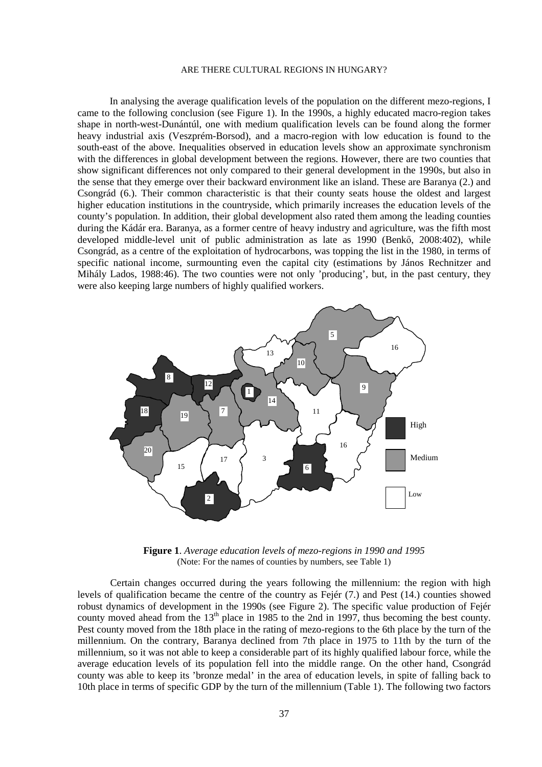In analysing the average qualification levels of the population on the different mezo-regions, I came to the following conclusion (see Figure 1). In the 1990s, a highly educated macro-region takes shape in north-west-Dunántúl, one with medium qualification levels can be found along the former heavy industrial axis (Veszprém-Borsod), and a macro-region with low education is found to the south-east of the above. Inequalities observed in education levels show an approximate synchronism with the differences in global development between the regions. However, there are two counties that show significant differences not only compared to their general development in the 1990s, but also in the sense that they emerge over their backward environment like an island. These are Baranya (2.) and Csongrád (6.). Their common characteristic is that their county seats house the oldest and largest higher education institutions in the countryside, which primarily increases the education levels of the county's population. In addition, their global development also rated them among the leading counties during the Kádár era. Baranya, as a former centre of heavy industry and agriculture, was the fifth most developed middle-level unit of public administration as late as 1990 (Benkő, 2008:402), while Csongrád, as a centre of the exploitation of hydrocarbons, was topping the list in the 1980, in terms of specific national income, surmounting even the capital city (estimations by János Rechnitzer and Mihály Lados, 1988:46). The two counties were not only 'producing', but, in the past century, they were also keeping large numbers of highly qualified workers.



**Figure 1**. *Average education levels of mezo-regions in 1990 and 1995*  (Note: For the names of counties by numbers, see Table 1)

 Certain changes occurred during the years following the millennium: the region with high levels of qualification became the centre of the country as Fejér (7.) and Pest (14.) counties showed robust dynamics of development in the 1990s (see Figure 2). The specific value production of Fejér county moved ahead from the 13<sup>th</sup> place in 1985 to the 2nd in 1997, thus becoming the best county. Pest county moved from the 18th place in the rating of mezo-regions to the 6th place by the turn of the millennium. On the contrary, Baranya declined from 7th place in 1975 to 11th by the turn of the millennium, so it was not able to keep a considerable part of its highly qualified labour force, while the average education levels of its population fell into the middle range. On the other hand, Csongrád county was able to keep its 'bronze medal' in the area of education levels, in spite of falling back to 10th place in terms of specific GDP by the turn of the millennium (Table 1). The following two factors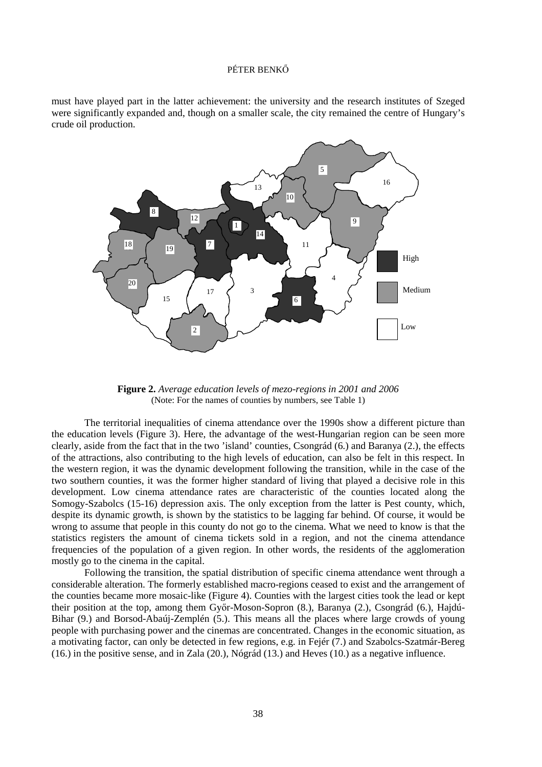### PÉTER BENKŐ

must have played part in the latter achievement: the university and the research institutes of Szeged were significantly expanded and, though on a smaller scale, the city remained the centre of Hungary's crude oil production.



**Figure 2.** *Average education levels of mezo-regions in 2001 and 2006* (Note: For the names of counties by numbers, see Table 1)

 The territorial inequalities of cinema attendance over the 1990s show a different picture than the education levels (Figure 3). Here, the advantage of the west-Hungarian region can be seen more clearly, aside from the fact that in the two 'island' counties, Csongrád (6.) and Baranya (2.), the effects of the attractions, also contributing to the high levels of education, can also be felt in this respect. In the western region, it was the dynamic development following the transition, while in the case of the two southern counties, it was the former higher standard of living that played a decisive role in this development. Low cinema attendance rates are characteristic of the counties located along the Somogy-Szabolcs (15-16) depression axis. The only exception from the latter is Pest county, which, despite its dynamic growth, is shown by the statistics to be lagging far behind. Of course, it would be wrong to assume that people in this county do not go to the cinema. What we need to know is that the statistics registers the amount of cinema tickets sold in a region, and not the cinema attendance frequencies of the population of a given region. In other words, the residents of the agglomeration mostly go to the cinema in the capital.

Following the transition, the spatial distribution of specific cinema attendance went through a considerable alteration. The formerly established macro-regions ceased to exist and the arrangement of the counties became more mosaic-like (Figure 4). Counties with the largest cities took the lead or kept their position at the top, among them Győr-Moson-Sopron (8.), Baranya (2.), Csongrád (6.), Hajdú-Bihar (9.) and Borsod-Abaúj-Zemplén (5.). This means all the places where large crowds of young people with purchasing power and the cinemas are concentrated. Changes in the economic situation, as a motivating factor, can only be detected in few regions, e.g. in Fejér (7.) and Szabolcs-Szatmár-Bereg (16.) in the positive sense, and in Zala (20.), Nógrád (13.) and Heves (10.) as a negative influence.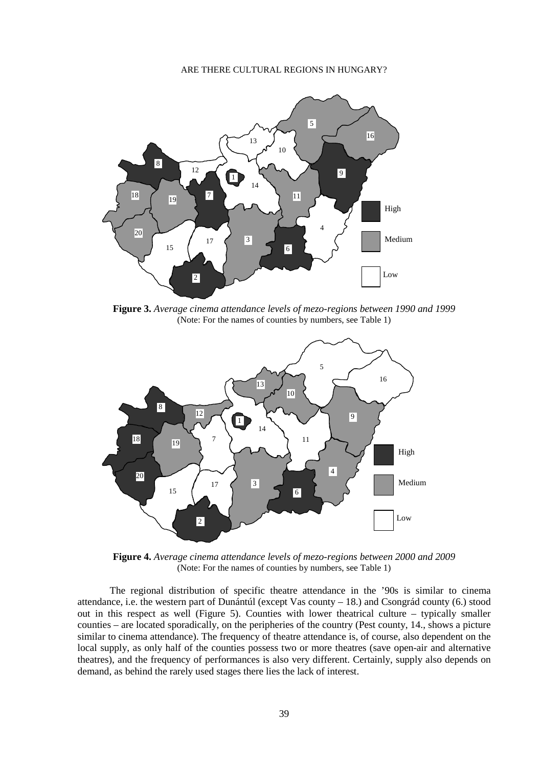

**Figure 3.** *Average cinema attendance levels of mezo-regions between 1990 and 1999*  (Note: For the names of counties by numbers, see Table 1)



**Figure 4.** *Average cinema attendance levels of mezo-regions between 2000 and 2009* (Note: For the names of counties by numbers, see Table 1)

The regional distribution of specific theatre attendance in the '90s is similar to cinema attendance, i.e. the western part of Dunántúl (except Vas county – 18.) and Csongrád county (6.) stood out in this respect as well (Figure 5). Counties with lower theatrical culture – typically smaller counties – are located sporadically, on the peripheries of the country (Pest county, 14., shows a picture similar to cinema attendance). The frequency of theatre attendance is, of course, also dependent on the local supply, as only half of the counties possess two or more theatres (save open-air and alternative theatres), and the frequency of performances is also very different. Certainly, supply also depends on demand, as behind the rarely used stages there lies the lack of interest.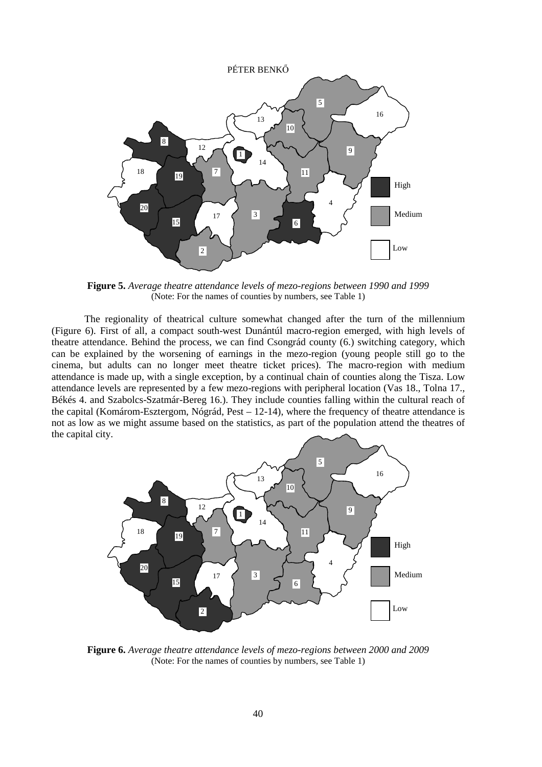

**Figure 5.** *Average theatre attendance levels of mezo-regions between 1990 and 1999* (Note: For the names of counties by numbers, see Table 1)

The regionality of theatrical culture somewhat changed after the turn of the millennium (Figure 6). First of all, a compact south-west Dunántúl macro-region emerged, with high levels of theatre attendance. Behind the process, we can find Csongrád county (6.) switching category, which can be explained by the worsening of earnings in the mezo-region (young people still go to the cinema, but adults can no longer meet theatre ticket prices). The macro-region with medium attendance is made up, with a single exception, by a continual chain of counties along the Tisza. Low attendance levels are represented by a few mezo-regions with peripheral location (Vas 18., Tolna 17., Békés 4. and Szabolcs-Szatmár-Bereg 16.). They include counties falling within the cultural reach of the capital (Komárom-Esztergom, Nógrád, Pest – 12-14), where the frequency of theatre attendance is not as low as we might assume based on the statistics, as part of the population attend the theatres of the capital city.



**Figure 6.** *Average theatre attendance levels of mezo-regions between 2000 and 2009* (Note: For the names of counties by numbers, see Table 1)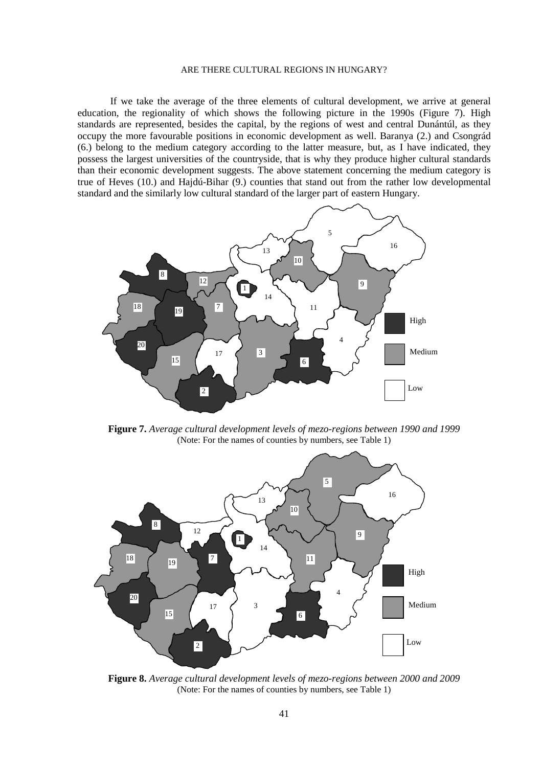If we take the average of the three elements of cultural development, we arrive at general education, the regionality of which shows the following picture in the 1990s (Figure 7). High standards are represented, besides the capital, by the regions of west and central Dunántúl, as they occupy the more favourable positions in economic development as well. Baranya (2.) and Csongrád (6.) belong to the medium category according to the latter measure, but, as I have indicated, they possess the largest universities of the countryside, that is why they produce higher cultural standards than their economic development suggests. The above statement concerning the medium category is true of Heves (10.) and Hajdú-Bihar (9.) counties that stand out from the rather low developmental standard and the similarly low cultural standard of the larger part of eastern Hungary.



**Figure 7.** *Average cultural development levels of mezo-regions between 1990 and 1999* (Note: For the names of counties by numbers, see Table 1)



**Figure 8.** *Average cultural development levels of mezo-regions between 2000 and 2009* (Note: For the names of counties by numbers, see Table 1)